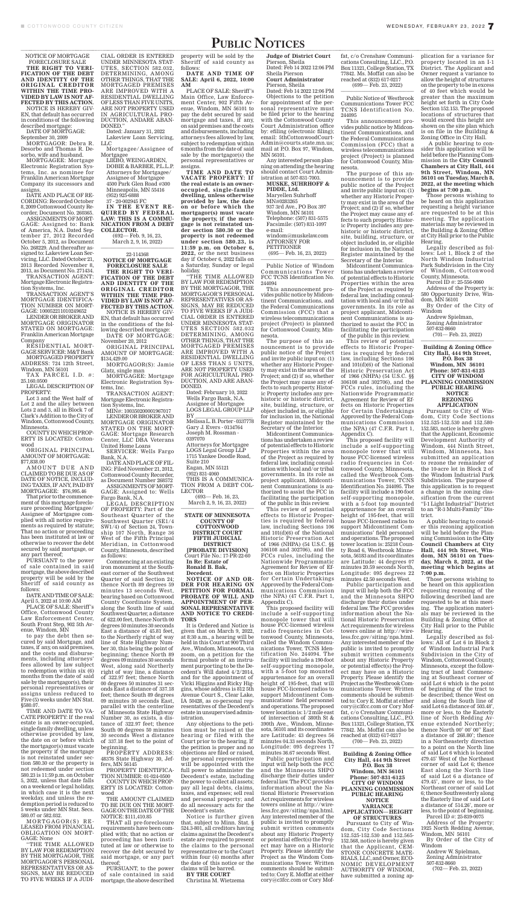## PUBLIC NOTICES

NOTICE OF MORTGAGE FORECLOSURE SALE

**THE RIGHT TO VERI-FICATION OF THE DEBT AND IDENTITY OF THE ORIGINAL CREDITOR WITHIN THE TIME PRO-VIDED BY LAW IS NOT AF-FECTED BY THIS ACTION.** NOTICE IS HEREBY GIV-EN, that default has occurred in conditions of the following described mortgage:

DATE OF MORTGAGE: September 30, 2009

MORTGAGOR: Debra R. Desorbo and Thomas R. Desorbo, wife and husband.

MORTGAGEE: Mortgage Electronic Registration Systems, Inc. as nominee for Franklin American Mortgage Company its successors and assigns.

DATE AND PLACE OF RE-CORDING: Recorded October 8, 2009 Cottonwood County Recorder, Document No. 260365.

TAX PARCEL I.D. #: 25.160.0500

ASSIGNMENTS OF MORT-GAGE: Assigned to: Bank of America, N.A. Dated September 27, 2012 Recorded October 5, 2012, as Document No. 268229. And thereafter assigned to: Lakeview Loan Servicing, LLC. Dated October 21, 2013 Recorded November 8, 2013, as Document No. 271434.

AMOUNT DUE AND CLAIMED TO BE DUE AS OF DATE OF NOTICE, INCLUD-ING TAXES, IF ANY, PAID BY MORTGAGEE: \$76,995.46

TRANSACTION AGENT: Mortgage Electronic Registration Systems, Inc.

TRANSACTION AGENT'S MORTGAGE IDENTIFICA-TION NUMBER ON MORT-GAGE: 100052211010249652

LENDER OR BROKER AND MORTGAGE ORIGINATOR STATED ON MORTGAGE: Franklin American Mortgage Company

RESIDENTIAL MORT-GAGE SERVICER: M&T Bank MORTGAGED PROPERTY

ADDRESS: 724 12th Street, Windom, MN 56101

LEGAL DESCRIPTION OF PROPERTY:

Lot 3 and the West half of Lot 2 and the alley between Lots 2 and 3, all in Block 7 of Clark's Addition to the City of Windom, Cottonwood County, Minnesota.

COUNTY IN WHICH PROP-ERTY IS LOCATED: Cottonwood

ORIGINAL PRINCIPAL AMOUNT OF MORTGAGE: \$77,838.00

That prior to the commencement of this mortgage foreclosure proceeding Mortgagee/ Assignee of Mortgagee complied with all notice requirements as required by statute; That no action or proceeding has been instituted at law or otherwise to recover the debt secured by said mortgage, or any part thereof;

LIEBO, WEINGARDEN. DOBIE & BARBEE, P.L.L.P. Attorneys for Mortgagee/ Assignee of Mortgagee 4500 Park Glen Road #300 Minneapolis, MN 55416 (952) 925-6888 37 - 20-002945 FC

(692— Feb. 9, 16, 23, March 2, 9, 16, 2022)

PURSUANT to the power of sale contained in said mortgage, the above described property will be sold by the Sheriff of said county as follows:

DATE AND TIME OF SALE: April 5, 2022 at 10:00 AM

PLACE OF SALE: Sheriff 's Office, Cottonwood County Law Enforcement Center, South Front Step, 902 5th Avenue, Windom, MN

to pay the debt then secured by said Mortgage, and taxes, if any, on said premises, and the costs and disbursements, including attorneys' fees allowed by law subject to redemption within six (6) months from the date of said sale by the mortgagor(s), their personal representatives or assigns unless reduced to Five (5) weeks under MN Stat. §580.07.

TIME AND DATE TO VA-CATE PROPERTY: If the real estate is an owner-occupied, single-family dwelling, unless otherwise provided by law, the date on or before which the mortgagor(s) must vacate the property if the mortgage is not reinstated under section 580.30 or the property is not redeemed under section 580.23 is 11:59 p.m. on October 5, 2022, unless that date falls on a weekend or legal holiday, in which case it is the next weekday, and unless the redemption period is reduced to 5 weeks under MN Stat. Secs. 580.07 or 582.032.

MORTGAGOR(S) RE - LEASED FROM FINANCIAL OBLIGATION ON MORT-GAGE: None

"THE TIME ALLOWED BY LAW FOR REDEMPTION BY THE MORTGAGOR, THE MORTGAGOR'S PERSONAL REPRESENTATIVES OR AS-SIGNS, MAY BE REDUCED TO FIVE WEEKS IF A JUDI-

CIAL ORDER IS ENTERED UNDER MINNESOTA STAT-UTES, SECTION 582.032, DETERMINING, AMONG OTHER THINGS, THAT THE MORTGAGED PREMISES ARE IMPROVED WITH A RESIDENTIAL DWELLING OF LESS THAN FIVE UNITS, ARE NOT PROPERTY USED IN AGRICULTURAL PRO-DUCTION, ANDARE ABAN-DONED."

Dated: January 31, 2022 Lakeview Loan Servicing, LLC

Mortgagee/Assignee of Mortgagee

**IN THE EVENT RE-QUIRED BY FEDERAL LAW: THIS IS A COMMU-NICATION FROM A DEBT COLLECTOR.**

22-114368

**NOTICE OF MORTGAGE FORECLOSURE SALE THE RIGHT TO VERI-FICATION OF THE DEBT** 

**AND IDENTITY OF THE ORIGINAL CREDITOR WITHIN THE TIME PRO-VIDED BY LAW IS NOT AF-FECTED BY THIS ACTION.** NOTICE IS HEREBY GIV-EN, that default has occurred in the conditions of the fol-

lowing described mortgage: DATE OF MORTGAGE: November 20, 2012

ORIGINAL PRINCIPAL AMOUNT OF MORTGAGE: \$134,429.00

MORTGAGOR(S): Jamie Glatz, single man

MORTGAGEE: Mortgage Electronic Registration Systems, Inc.

TRANSACTION AGENT: Mortgage Electronic Registration Systems, Inc.

MIN#: 100350200001967017 LENDER OR BROKER AND MORTGAGE ORIGINATOR STATED ON THE MORT-GAGE: Mortgage Research Center, LLC DBA Veterans United Home Loans

SERVICER: Wells Fargo Bank, N.A.

DATE AND PLACE OF FIL-ING: Filed November 21, 2012, Cottonwood County Recorder, as Document Number 268572

ASSIGNMENTS OF MORT-GAGE: Assigned to: Wells Fargo Bank, N.A.

ATTORNEY FOR **PETITIONER**  $(695 - \text{Feb. } 16, 23, 2022)$ 

LEGAL DESCRIPTION OF PROPERTY: Part of the Southeast Quarter of the Southwest Quarter (SE1/4 SW1/4) of Section 24, Township 107 North, Range 36 West of the Fifth Principal Meridian, in Cottonwood County, Minnesota, described as follows: Commencing at an existing iron monument at the Southeast corner of the Southwest Quarter of said Section 24; thence North 89 degrees 59 minutes 13 seconds West, bearing based on Cottonwood County Coordinate System, along the South line of said Southwest Quarter, a distance of 622.00 feet, thence North 00 degrees 50 minutes 30 seconds East a distance of 45.81 feet, to the Northerly right of way line of State Highway Number 30, this being the point of beginning; thence North 89 degrees 09 minutes 30 seconds West, along said Northerly right of way line, a distance of 322.97 feet; thence North 00 degrees 50 minutes 31 seconds East a distance of 337.18 feet; thence South 89 degrees 09 minutes 30 seconds East, parallel with the centerline of Minnesota State Highway Number 30, as exists, a distance of 322.97 feet; thence South 00 degrees 50 minutes 30 seconds West a distance of 337.18 feet to the point of beginning.

PROPERTY ADDRESS: 48376 State Highway 30, Jeffers, MN 56145

PROPERTY IDENTIFICA-TION NUMBER: 01-024-0500

COUNTY IN WHICH PROP-ERTY IS LOCATED: Cottonwood

THE AMOUNT CLAIMED TO BE DUE ON THE MORT-GAGE ON THE DATE OF THE NOTICE: \$111,410.85

THAT all pre-foreclosure requirements have been complied with; that no action or proceeding has been instituted at law or otherwise to recover the debt secured by said mortgage, or any part thereof;

PURSUANT, to the power of sale contained in said mortgage, the above described

property will be sold by the Sheriff of said county as follows:

**DATE AND TIME OF SALE: April 6, 2022, 10:00 AM**

fat, c/o Crenshaw Communications Consulting, LLC., P.O. Box 11321, College Station, TX 77842. Ms. Moffat can also be reached at (832) 617-0217  $(699 - \text{Feb. } 23, 2022)$ 

PLACE OF SALE: Sheriff 's Main Office, Law Enforcement Center, 902 Fifth Avenue, Windom, MN 56101 to pay the debt secured by said mortgage and taxes, if any, on said premises and the costs and disbursements, including attorneys fees allowed by law, subject to redemption within 6 months from the date of said sale by the mortgagor(s) the personal representatives or assigns.

**TIME AND DATE TO VACATE PROPERTY: If the real estate is an owneroccupied, single-family dwelling, unless otherwise provided by law, the date on or before which the mortgagor(s) must vacate the property, if the mortgage is not reinstated under section 580.30 or the property is not redeemed under section 580.23, is 11:59 p.m. on October 6, 2022,** or the next business day if October 6, 2022 falls on a Saturday, Sunday or legal

> Appendix C). This proposed facility will include a self-supporting monopole tower that will house FCC-licensed wireless radio frequencies in Cottonwood County, Minnesota, called the Westbrook Communications Tower, TCNS Identification No. 244095. The facility will include a 190-foot self-supporting monopole, with a 5-foot top mounted appurtenance for an overall height of 195-feet, that will house FCC-licensed radios to support Midcontinent Communications' field personnel and operations. The proposed tower location is: 25218 County Road 6, Westbrook Minnesota, 56183 and its coordinates are Latitude: 44 degrees 07 minutes 20.59 seconds North, Longitude: 095 degrees 22 minutes 42.50 seconds West. Public participation and input will help both the FCC and the Minnesota SHPO discharge their duties under federal law. The FCC provides information about the National Historic Preservation Act requirements for wireless towers online at http://wireless.fcc.gov/siting/npa.html. Any interested member of the public is invited to promptly submit written comments about any Historic Property or potential effect(s) the Project may have on a Historic Property. Please identify the Project as the Westbrook Communications Tower. Written comments should be submitted to: Cory E. Moffat at either cory@c3fcc.com or Cory Moffat, c/o Crenshaw Communications Consulting, LLC., P.O. Box 11321, College Station, TX 77842. Ms. Moffat can also be reached at (832) 617-0217  $(700 - \text{Feb. } 23, 2022)$

holiday. "THE TIME ALLOWED BY LAW FOR REDEMPTION BY THE MORTGAGOR, THE MORTGAGOR'S PERSONAL REPRESENTATIVES OR AS-SIGNS, MAY BE REDUCED TO FIVE WEEKS IF A JUDI-CIAL ORDER IS ENTERED UNDER MINNESOTA STAT-UTES SECTION 582.032 DETERMINING, AMONG OTHER THINGS, THAT THE MORTGAGED PREMISES ARE IMPROVED WITH A RESIDENTIAL DWELLING OF LESS THAN 5 UNITS, ARE NOT PROPERTY USED FOR AGRICULTURAL PRO-DUCTION, AND ARE ABAN-DONED.

Dated: February 10, 2022 Wells Fargo Bank, N.A. Assignee of Mortgagee LOGS LEGAL GROUP LLP BY \_\_\_\_\_\_\_\_\_\_\_\_\_\_\_\_\_\_\_\_\_\_ Melissa L. B. Porter - 0337778 Gary J. Evers - 0134764 Joseph M. Rossman - 0397070 Attorneys for Mortgagee LOGS Legal Group LLP 1715 Yankee Doodle Road, Suite 210 Eagan, MN 55121 (952) 831-4060 THIS IS A COMMUNICA-TION FROM A DEBT COL-LECTOR (693— Feb. 16, 23,

March 2, 9, 16, 23, 2022)

**STATE OF MINNESOTA COUNTY OF**

**COTTONWOOD DISTRICT COURT FIFTH JUDICIAL DISTRICT [PROBATE DIVISION]** Court File No.: 17-PR-22-60 **In Re: Estate of Ronald B. Bak, Decedent. NOTICE OF AND OR-**

**DER FOR HEARING ON PETITION FOR FORMAL PROBATE OF WILL AND APPOINTMENT OF PER-SONAL REPRESENTATIVE AND NOTICE TO CREDI-TORS**

It is Ordered and Notice is given that on March 9, 2022, at 8:30 a.m., a hearing will be held in this Court at 900 Third Ave., Windom, Minnesota, via zoom, on a petition for the formal probate of an instrument purporting to be the Decedent's Will dated 4/2/2014, and for the appointment of Vicki Higgins and Ricky Higgins, whose address is 812 5th Avenue Court S., Clear Lake, IA 50428, as co-personal representatives of the Decedent's estate in unsupervised administration.

Any objections to the petition must be raised at the hearing or filed with the Court prior to the hearing. If the petition is proper and no objections are filed or raised, the personal representative will be appointed with the full power to administer the Decedent's estate, including the power to collect all assets; pay all legal debts, claims, taxes, and expenses; sell real and personal property; and do all necessary acts for the Decedent's estate.

Notice is further given that, subject to Minn. Stat. § 524.3-801, all creditors having claims against the Decedent's estate are required to present the claims to the personal representative or to the Court within four (4) months after the date of this notice or the claims will be barred. **BY THE COURT**

Christina M. Wietzema

**Judge of District Court** Pierson, Sheila Dated: Feb 14 2022 12:06 PM

Sheila Pierson **Court Administrator** Pierson, Sheila

Dated: Feb 14 2022 12:06 PM Objections to the petition for appointment of the personal representative must be filed prior to the hearing with the Cottonwood County Court Administration office by: efiling (electronic filing); email: 5thCottonwoodCourt-Admin@courts.state.mn.us; mail at P.O. Box 97, Windom, MN 56101.

Any interested person planning on attending the hearing should contact Court Administration at 507-831-7003.

**MUSKE, SUHRHOFF & PIDDE, Ltd.** Maryellen Suhrhoff MN#0283265 937 3rd Ave., PO Box 397 Windom, MN 56101 Telephone: (507) 831-5575 Facsimile: (507) 831-1097 e-mail: windom@muskelaw.com

Public Notice of Windom Communications Tower FCC TCNS Identification No. 244094

This announcement provides public notice by Midcontinent Communications, and the Federal Communications Commission (FCC) that a wireless telecommunications project (Project) is planned for Cottonwood County, Minnesota.

The purpose of this announcement is to provide public notice of the Project and invite public input on: (1) whether any Historic Property may exist in the area of the Project; and (2) if so, whether the Project may cause any effects to such property. Historic Property includes any prehistoric or historic district, site, building, structure, or object included in, or eligible for inclusion in, the National Register maintained by the Secretary of the Interior.

Midcontinent Communications has undertaken a review of potential effects to Historic Properties within the area of the Project as required by federal law, including consultation with local and/or tribal governments. In its role as project applicant, Midcontinent Communications is authorized to assist the FCC in facilitating the participation of the public in this review.

This review of potential effects to Historic Properties is required by federal law, including Sections 106 and 101(d)(6) of the National Historic Preservation Act of 1966 (NHPA) (54 U.S.C. §§ 306108 and 302706), and the FCCs rules, including the Nationwide Programmatic Agreement for Review of Effects on Historic Properties for Certain Undertakings Approved by the Federal Communications Commission (the NPA) (47 C.F.R. Part 1, Appendix C). This proposed facility will include a self-supporting monopole tower that will house FCC-licensed wireless radio frequencies in Cottonwood County, Minnesota, called the Windom Communications Tower, TCNS Identification No. 244094. The facility will include a 190-foot self-supporting monopole, with a 5-foot top mounted appurtenance for an overall height of 195-feet, that will house FCC-licensed radios to support Midcontinent Communications' field personnel and operations. The proposed tower location is: 1/2 mile east of intersection of 380th St & 390th Ave., Windom, Minnesota, 56101 and its coordinates are Latitude: 43 degrees 56 minutes 04.33 seconds North, Longitude: 095 degrees 17 minutes 36.67 seconds West. Public participation and input will help both the FCC and the Minnesota SHPO discharge their duties under federal law. The FCC provides information about the National Historic Preservation Act requirements for wireless towers online at http://wireless.fcc.gov/siting/npa.html. Any interested member of the public is invited to promptly submit written comments about any Historic Property or potential effect(s) the Project may have on a Historic Property. Please identify the Project as the Windom Communications Tower. Written comments should be submitted to: Cory E. Moffat at either cory@c3fcc.com or Cory Mof-

Public Notice of Westbrook Communications Tower FCC TCNS Identification No. 244095

This announcement provides public notice by Midcontinent Communications, and the Federal Communications Commission (FCC) that a wireless telecommunications project (Project) is planned for Cottonwood County, Minnesota.

The purpose of this announcement is to provide public notice of the Project and invite public input on: (1) whether any Historic Property may exist in the area of the Project; and (2) if so, whether the Project may cause any effects to such property. Historic Property includes any prehistoric or historic district, site, building, structure, or object included in, or eligible for inclusion in, the National Register maintained by the Secretary of the Interior.

Midcontinent Communications has undertaken a review of potential effects to Historic Properties within the area of the Project as required by federal law, including consultation with local and/or tribal governments. In its role as project applicant, Midcontinent Communications is authorized to assist the FCC in facilitating the participation of the public in this review.

This review of potential effects to Historic Properties is required by federal law, including Sections 106 and 101(d)(6) of the National Historic Preservation Act of 1966 (NHPA) (54 U.S.C. §§ 306108 and 302706), and the FCCs rules, including the Nationwide Programmatic Agreement for Review of Effects on Historic Properties for Certain Undertakings Approved by the Federal Communications Commission (the NPA) (47 C.F.R. Part 1,

**Building & Zoning Office City Hall, 444 9th Street P.O. Box 38 Windom, MN 56101 Phone: 507-831-6125 CITY OF WINDOM PLANNING COMMISSION PUBLIC HEARING NOTICE VARIANCE APPLICATION—HEIGHT** 

**OF STRUCTURES** Pursuant to City of Windom, City Code Sections 152.525-152.530 and 152.565- 152.568, notice is hereby given that the Applicant, CEM-STONE CONCRETE MATE-RIALS, LLC, and Owner, ECO-NOMIC DEVELOPMENT AUTHORITY OF WINDOM, have submitted a zoning application for a variance for property located in an I-1 District. The Applicant and Owner request a variance to allow the height of structures on the property to be in excess of 40 feet which would be greater than the maximum height set forth in City Code Section 152.153. The proposed locations of structures that would exceed this height are shown on the site plan which is on file in the Building & Zoning Office in City Hall.

 A public hearing to consider this application will be held before the Planning Commission in the **City Council Chambers at City Hall, 444 9th Street, Windom, MN 56101 on Tuesday, March 8, 2022, at the meeting which begins at 7:00 p.m.** 

Those persons wishing to be heard on this application requesting a height variance are requested to be at this meeting. The application materials may be reviewed in the Building & Zoning Office at City Hall prior to the Public Hearing.

Legally described as follows: Lot 1, Block 2 of the North Windom Industrial Park Subdivision in the City of Windom, Cottonwood County, Minnesota.

Parcel ID #: 25-556-0060

Address of the Property is: 580 Opportunity Drive, Windom, MN 56101

By Order of the City of Windom

Andrew Spielman, Zoning Administrator

507-832-8660

 $(701 - \text{Feb. } 23, 2022)$ 

**Building & Zoning Office City Hall, 444 9th Street, P.O. Box 38 Windom, MN 56101 Phone: 507-831-6125 CITY OF WINDOM PLANNING COMMISSION PUBLIC HEARING NOTICE REZONING APPLICATION**

Pursuant to City of Windom, City Code Sections 152.525-152.530 and 152.580- 152.583, notice is hereby given that the Applicant, Economic Development Authority of Windom, 444 Ninth Street, Windom, Minnesota, has submitted an application to rezone the remainder of the 10-acre lot in Block 2 of the Windom Industrial Park Subdivision. The purpose of this application is to request a change in the zoning classification from the current "I-1 Light Industrial" District to an "R-3 Multi-Family" District.

A public hearing to consid-

er this rezoning application will be held before the Planning Commission in the **City Council Chambers at City Hall, 444 9th Street, Windom, MN 56101 on Tuesday, March 8, 2022, at the meeting which begins at 7:00 p.m.**

Those persons wishing to be heard on this application requesting rezoning of the following described land are requested to be at this meeting. The application materials may be reviewed in the Building & Zoning Office at City Hall prior to the Public Hearing.

Legally described as follows: All of Lot 6 in Block 2 of Windom Industrial Park Subdivision in the City of Windom, Cottonwood County, Minnesota, except the following tract of land: Commencing at Southeast corner of said Lot 6 which is the point of beginning of the tract to be described; thence West on and along the South line of said Lot 6 a distance of 503.48', more or less, to the Easterly line of North Redding Avenue extended Northerly; thence North 00° 00' 00" East a distance of 268.80'; thence in a Northeasterly direction to a point on the North line of said Lot 6 which is located 479.45' West of the Northeast corner of said Lot 6; thence East along the North line of said Lot 6 a distance of 479.45', more or less, to the Northeast corner of said Lot 6; thence Southwesterly along the Easterly line of said Lot 6 a distance of 514.26', more or less, to the point of beginning.

Parcel ID #: 25-839-0075 Address of the Property: 1925 North Redding Avenue, Windom, MN 56101

By Order of the City of Windom

Andrew W. Spielman, Zoning Administrator 507-832-8660

(702— Feb. 23, 2022)